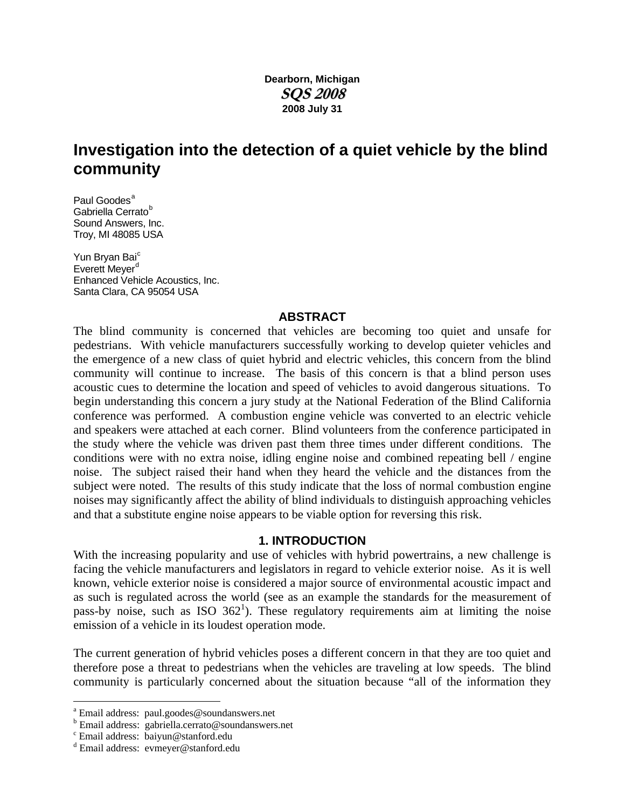## **Dearborn, Michigan SQS 2008 2008 July 31**

# **Investigation into the detection of a quiet vehicle by the blind community**

P[a](#page-0-0)ul Goodes<sup>a</sup> Ga[b](#page-0-1)riella Cerrato<sup>b</sup> Sound Answers, Inc. Troy, MI 48085 USA

Yun Bryan Bai<sup>[c](#page-0-2)</sup> Everett Meyer<sup>[d](#page-0-3)</sup> Enhanced Vehicle Acoustics, Inc. Santa Clara, CA 95054 USA

#### **ABSTRACT**

The blind community is concerned that vehicles are becoming too quiet and unsafe for pedestrians. With vehicle manufacturers successfully working to develop quieter vehicles and the emergence of a new class of quiet hybrid and electric vehicles, this concern from the blind community will continue to increase. The basis of this concern is that a blind person uses acoustic cues to determine the location and speed of vehicles to avoid dangerous situations. To begin understanding this concern a jury study at the National Federation of the Blind California conference was performed. A combustion engine vehicle was converted to an electric vehicle and speakers were attached at each corner. Blind volunteers from the conference participated in the study where the vehicle was driven past them three times under different conditions. The conditions were with no extra noise, idling engine noise and combined repeating bell / engine noise. The subject raised their hand when they heard the vehicle and the distances from the subject were noted. The results of this study indicate that the loss of normal combustion engine noises may significantly affect the ability of blind individuals to distinguish approaching vehicles and that a substitute engine noise appears to be viable option for reversing this risk.

#### **1. INTRODUCTION**

With the increasing popularity and use of vehicles with hybrid powertrains, a new challenge is facing the vehicle manufacturers and legislators in regard to vehicle exterior noise. As it is well known, vehicle exterior noise is considered a major source of environmental acoustic impact and as such is regulated across the world (see as an example the standards for the measurement of pass-by noise, such as ISO  $362^1$ ). These regulatory requirements aim at limiting the noise emission of a vehicle in its loudest operation mode.

The current generation of hybrid vehicles poses a different concern in that they are too quiet and therefore pose a threat to pedestrians when the vehicles are traveling at low speeds. The blind community is particularly concerned about the situation because "all of the information they

 $\overline{a}$ 

<span id="page-0-0"></span><sup>&</sup>lt;sup>a</sup> Email address: paul.goodes@soundanswers.net

<span id="page-0-1"></span>Email address: gabriella.cerrato@soundanswers.net

<span id="page-0-2"></span>Email address: baiyun@stanford.edu

<span id="page-0-3"></span>d Email address: evmeyer@stanford.edu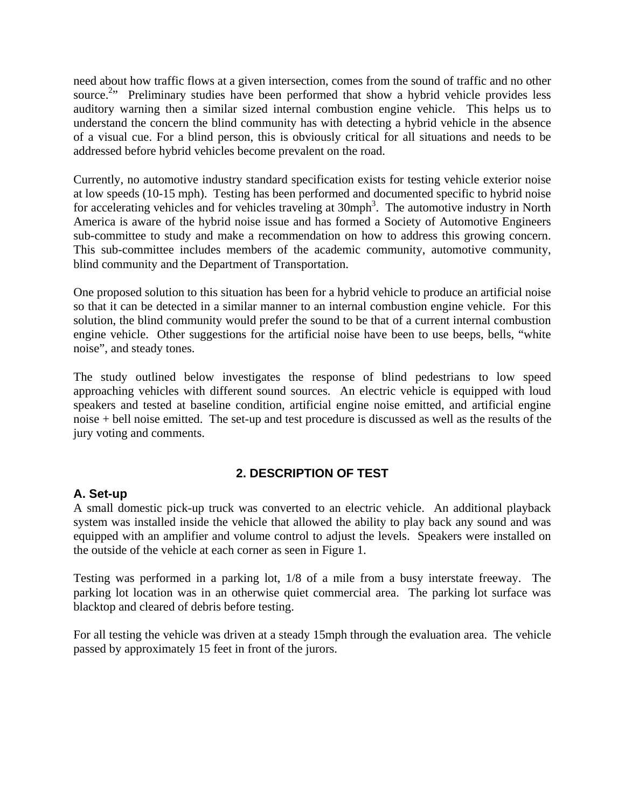need about how traffic flows at a given intersection, comes from the sound of traffic and no other source.<sup>2</sup><sup>2</sup> Preliminary studies have been performed that show a hybrid vehicle provides less auditory warning then a similar sized internal combustion engine vehicle. This helps us to understand the concern the blind community has with detecting a hybrid vehicle in the absence of a visual cue. For a blind person, this is obviously critical for all situations and needs to be addressed before hybrid vehicles become prevalent on the road.

Currently, no automotive industry standard specification exists for testing vehicle exterior noise at low speeds (10-15 mph). Testing has been performed and documented specific to hybrid noise for accelerating vehicles and for vehicles traveling at 30mph<sup>3</sup>. The automotive industry in North America is aware of the hybrid noise issue and has formed a Society of Automotive Engineers sub-committee to study and make a recommendation on how to address this growing concern. This sub-committee includes members of the academic community, automotive community, blind community and the Department of Transportation.

One proposed solution to this situation has been for a hybrid vehicle to produce an artificial noise so that it can be detected in a similar manner to an internal combustion engine vehicle. For this solution, the blind community would prefer the sound to be that of a current internal combustion engine vehicle. Other suggestions for the artificial noise have been to use beeps, bells, "white noise", and steady tones.

The study outlined below investigates the response of blind pedestrians to low speed approaching vehicles with different sound sources. An electric vehicle is equipped with loud speakers and tested at baseline condition, artificial engine noise emitted, and artificial engine noise + bell noise emitted. The set-up and test procedure is discussed as well as the results of the jury voting and comments.

## **2. DESCRIPTION OF TEST**

## **A. Set-up**

A small domestic pick-up truck was converted to an electric vehicle. An additional playback system was installed inside the vehicle that allowed the ability to play back any sound and was equipped with an amplifier and volume control to adjust the levels. Speakers were installed on the outside of the vehicle at each corner as seen in Figure 1.

Testing was performed in a parking lot, 1/8 of a mile from a busy interstate freeway. The parking lot location was in an otherwise quiet commercial area. The parking lot surface was blacktop and cleared of debris before testing.

For all testing the vehicle was driven at a steady 15mph through the evaluation area. The vehicle passed by approximately 15 feet in front of the jurors.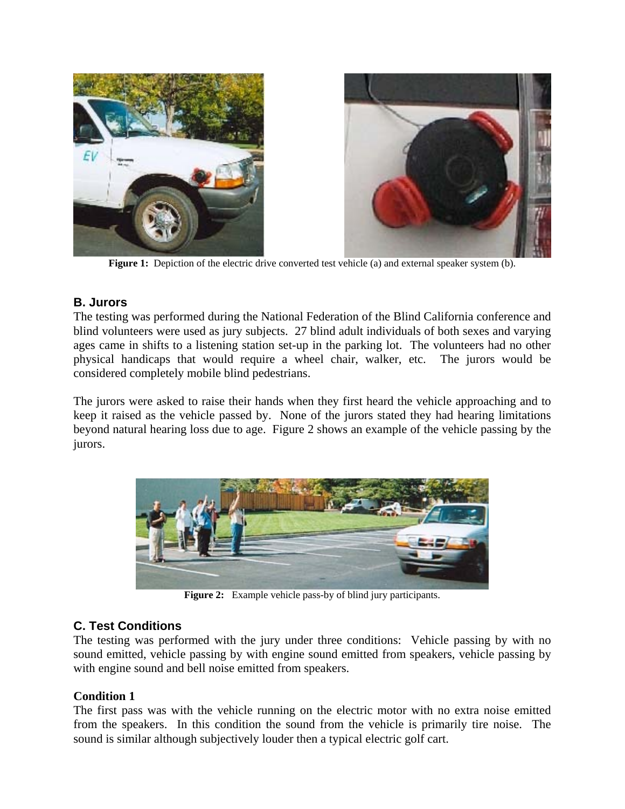

**Figure 1:** Depiction of the electric drive converted test vehicle (a) and external speaker system (b).

## **B. Jurors**

The testing was performed during the National Federation of the Blind California conference and blind volunteers were used as jury subjects. 27 blind adult individuals of both sexes and varying ages came in shifts to a listening station set-up in the parking lot. The volunteers had no other physical handicaps that would require a wheel chair, walker, etc. The jurors would be considered completely mobile blind pedestrians.

The jurors were asked to raise their hands when they first heard the vehicle approaching and to keep it raised as the vehicle passed by. None of the jurors stated they had hearing limitations beyond natural hearing loss due to age. Figure 2 shows an example of the vehicle passing by the jurors.



**Figure 2:** Example vehicle pass-by of blind jury participants.

## **C. Test Conditions**

The testing was performed with the jury under three conditions: Vehicle passing by with no sound emitted, vehicle passing by with engine sound emitted from speakers, vehicle passing by with engine sound and bell noise emitted from speakers.

## **Condition 1**

The first pass was with the vehicle running on the electric motor with no extra noise emitted from the speakers. In this condition the sound from the vehicle is primarily tire noise. The sound is similar although subjectively louder then a typical electric golf cart.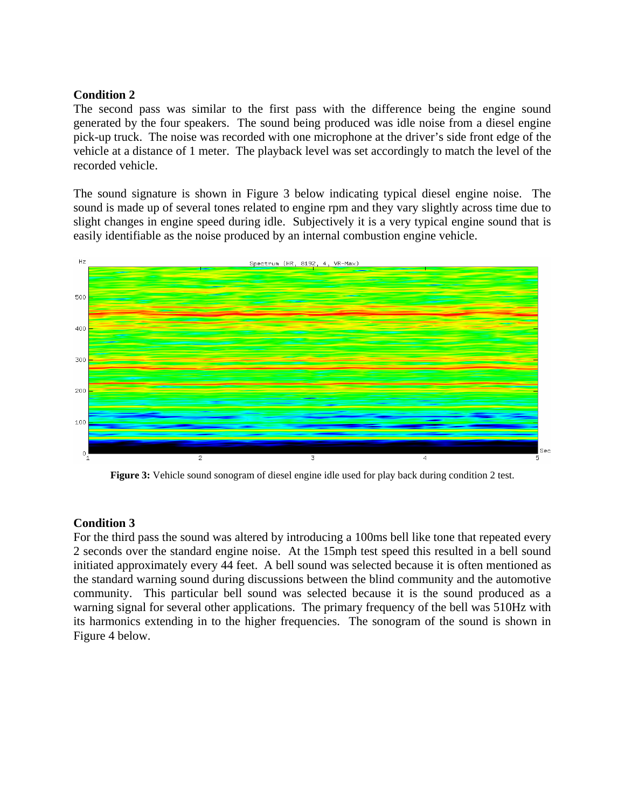#### **Condition 2**

The second pass was similar to the first pass with the difference being the engine sound generated by the four speakers. The sound being produced was idle noise from a diesel engine pick-up truck. The noise was recorded with one microphone at the driver's side front edge of the vehicle at a distance of 1 meter. The playback level was set accordingly to match the level of the recorded vehicle.

The sound signature is shown in Figure 3 below indicating typical diesel engine noise. The sound is made up of several tones related to engine rpm and they vary slightly across time due to slight changes in engine speed during idle. Subjectively it is a very typical engine sound that is easily identifiable as the noise produced by an internal combustion engine vehicle.



**Figure 3:** Vehicle sound sonogram of diesel engine idle used for play back during condition 2 test.

#### **Condition 3**

For the third pass the sound was altered by introducing a 100ms bell like tone that repeated every 2 seconds over the standard engine noise. At the 15mph test speed this resulted in a bell sound initiated approximately every 44 feet. A bell sound was selected because it is often mentioned as the standard warning sound during discussions between the blind community and the automotive community. This particular bell sound was selected because it is the sound produced as a warning signal for several other applications. The primary frequency of the bell was 510Hz with its harmonics extending in to the higher frequencies. The sonogram of the sound is shown in Figure 4 below.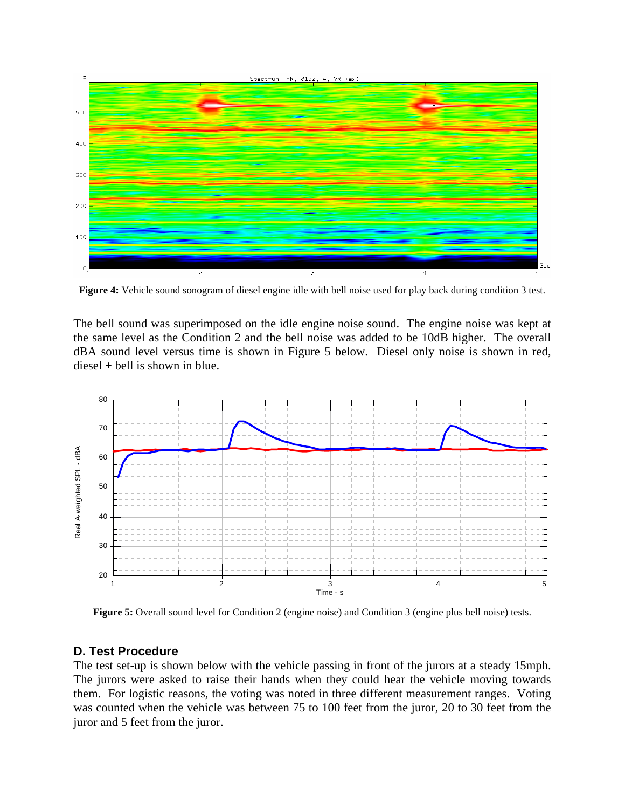

**Figure 4:** Vehicle sound sonogram of diesel engine idle with bell noise used for play back during condition 3 test.

The bell sound was superimposed on the idle engine noise sound. The engine noise was kept at the same level as the Condition 2 and the bell noise was added to be 10dB higher. The overall dBA sound level versus time is shown in Figure 5 below. Diesel only noise is shown in red, diesel + bell is shown in blue.



**Figure 5:** Overall sound level for Condition 2 (engine noise) and Condition 3 (engine plus bell noise) tests.

#### **D. Test Procedure**

The test set-up is shown below with the vehicle passing in front of the jurors at a steady 15mph. The jurors were asked to raise their hands when they could hear the vehicle moving towards them. For logistic reasons, the voting was noted in three different measurement ranges. Voting was counted when the vehicle was between 75 to 100 feet from the juror, 20 to 30 feet from the juror and 5 feet from the juror.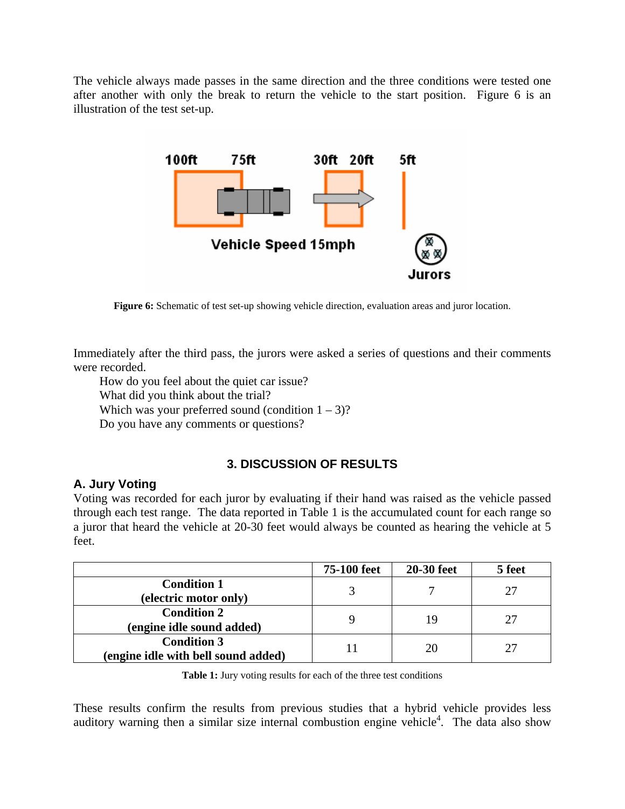The vehicle always made passes in the same direction and the three conditions were tested one after another with only the break to return the vehicle to the start position. Figure 6 is an illustration of the test set-up.



**Figure 6:** Schematic of test set-up showing vehicle direction, evaluation areas and juror location.

Immediately after the third pass, the jurors were asked a series of questions and their comments were recorded.

How do you feel about the quiet car issue?

What did you think about the trial?

Which was your preferred sound (condition  $1 - 3$ )?

Do you have any comments or questions?

## **3. DISCUSSION OF RESULTS**

## **A. Jury Voting**

Voting was recorded for each juror by evaluating if their hand was raised as the vehicle passed through each test range. The data reported in Table 1 is the accumulated count for each range so a juror that heard the vehicle at 20-30 feet would always be counted as hearing the vehicle at 5 feet.

|                                     | 75-100 feet | <b>20-30 feet</b> | 5 feet |
|-------------------------------------|-------------|-------------------|--------|
| <b>Condition 1</b>                  |             |                   | 27     |
| (electric motor only)               |             |                   |        |
| <b>Condition 2</b>                  |             |                   | 27     |
| (engine idle sound added)           |             | 19                |        |
| <b>Condition 3</b>                  |             | 20                | 27     |
| (engine idle with bell sound added) |             |                   |        |

**Table 1:** Jury voting results for each of the three test conditions

These results confirm the results from previous studies that a hybrid vehicle provides less auditory warning then a similar size internal combustion engine vehicle<sup>4</sup>. The data also show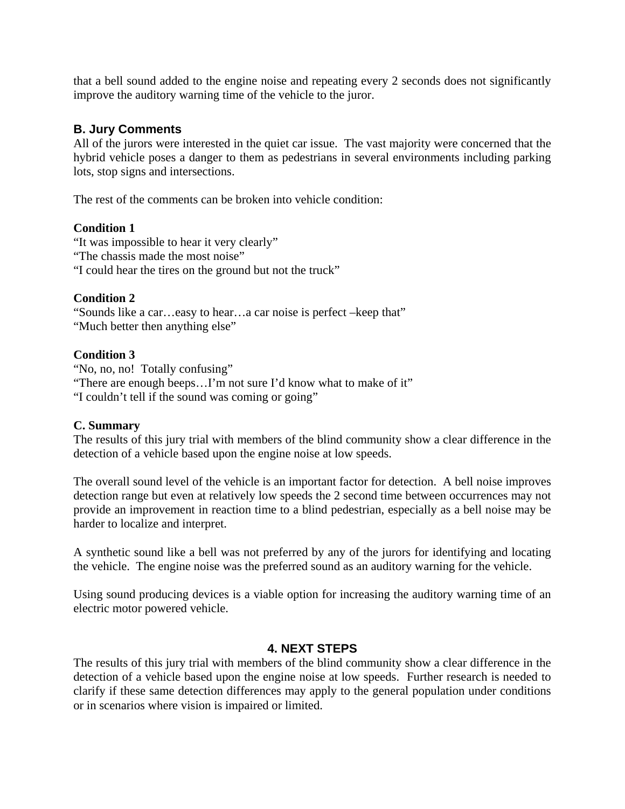that a bell sound added to the engine noise and repeating every 2 seconds does not significantly improve the auditory warning time of the vehicle to the juror.

## **B. Jury Comments**

All of the jurors were interested in the quiet car issue. The vast majority were concerned that the hybrid vehicle poses a danger to them as pedestrians in several environments including parking lots, stop signs and intersections.

The rest of the comments can be broken into vehicle condition:

#### **Condition 1**

"It was impossible to hear it very clearly" "The chassis made the most noise" "I could hear the tires on the ground but not the truck"

## **Condition 2**

"Sounds like a car…easy to hear…a car noise is perfect –keep that" "Much better then anything else"

#### **Condition 3**

"No, no, no! Totally confusing" "There are enough beeps…I'm not sure I'd know what to make of it" "I couldn't tell if the sound was coming or going"

## **C. Summary**

The results of this jury trial with members of the blind community show a clear difference in the detection of a vehicle based upon the engine noise at low speeds.

The overall sound level of the vehicle is an important factor for detection. A bell noise improves detection range but even at relatively low speeds the 2 second time between occurrences may not provide an improvement in reaction time to a blind pedestrian, especially as a bell noise may be harder to localize and interpret.

A synthetic sound like a bell was not preferred by any of the jurors for identifying and locating the vehicle. The engine noise was the preferred sound as an auditory warning for the vehicle.

Using sound producing devices is a viable option for increasing the auditory warning time of an electric motor powered vehicle.

#### **4. NEXT STEPS**

The results of this jury trial with members of the blind community show a clear difference in the detection of a vehicle based upon the engine noise at low speeds. Further research is needed to clarify if these same detection differences may apply to the general population under conditions or in scenarios where vision is impaired or limited.